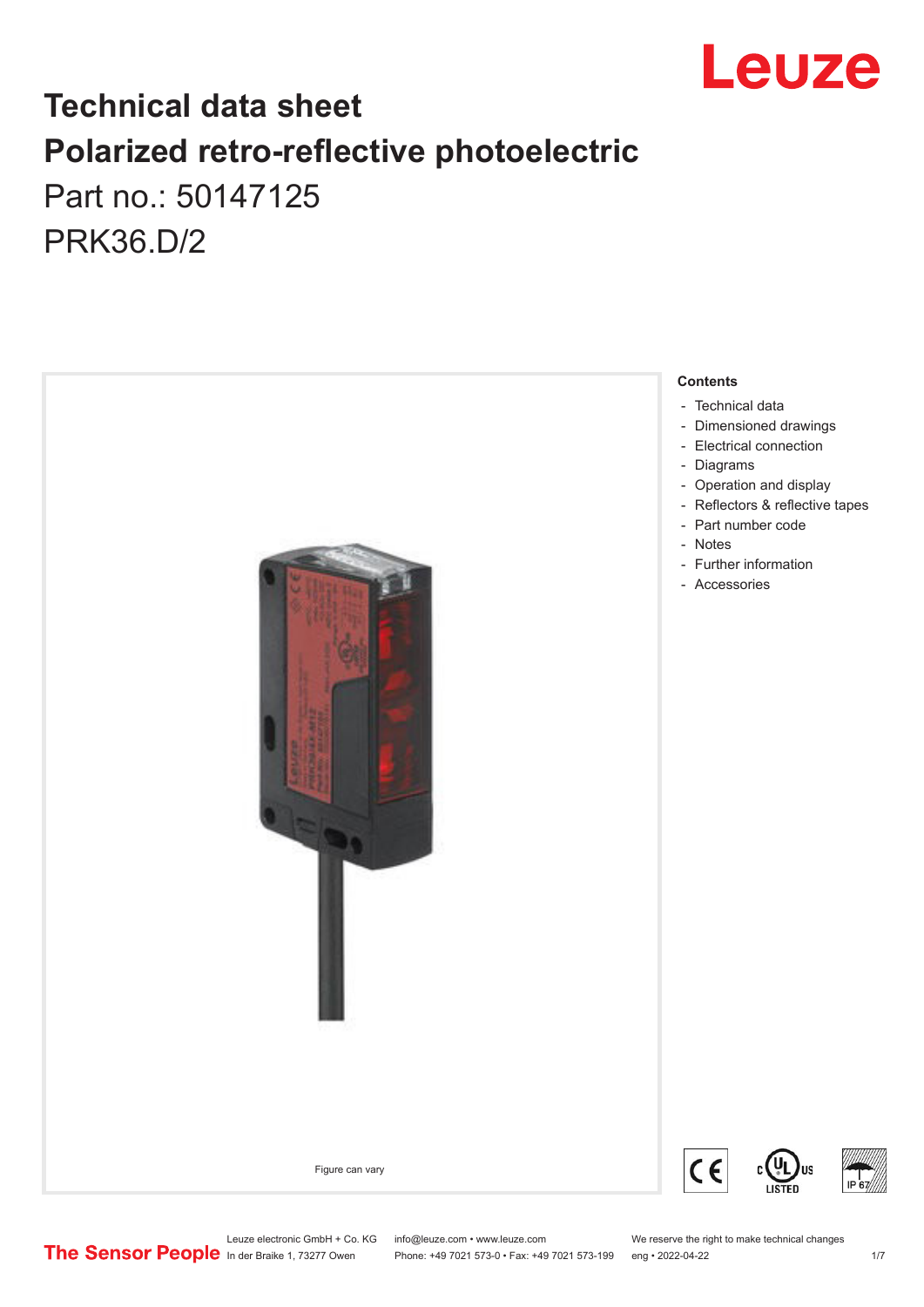

# **Technical data sheet Polarized retro-reflective photoelectric**  Part no.: 50147125

PRK36.D/2



Phone: +49 7021 573-0 • Fax: +49 7021 573-199 eng • 2022-04-22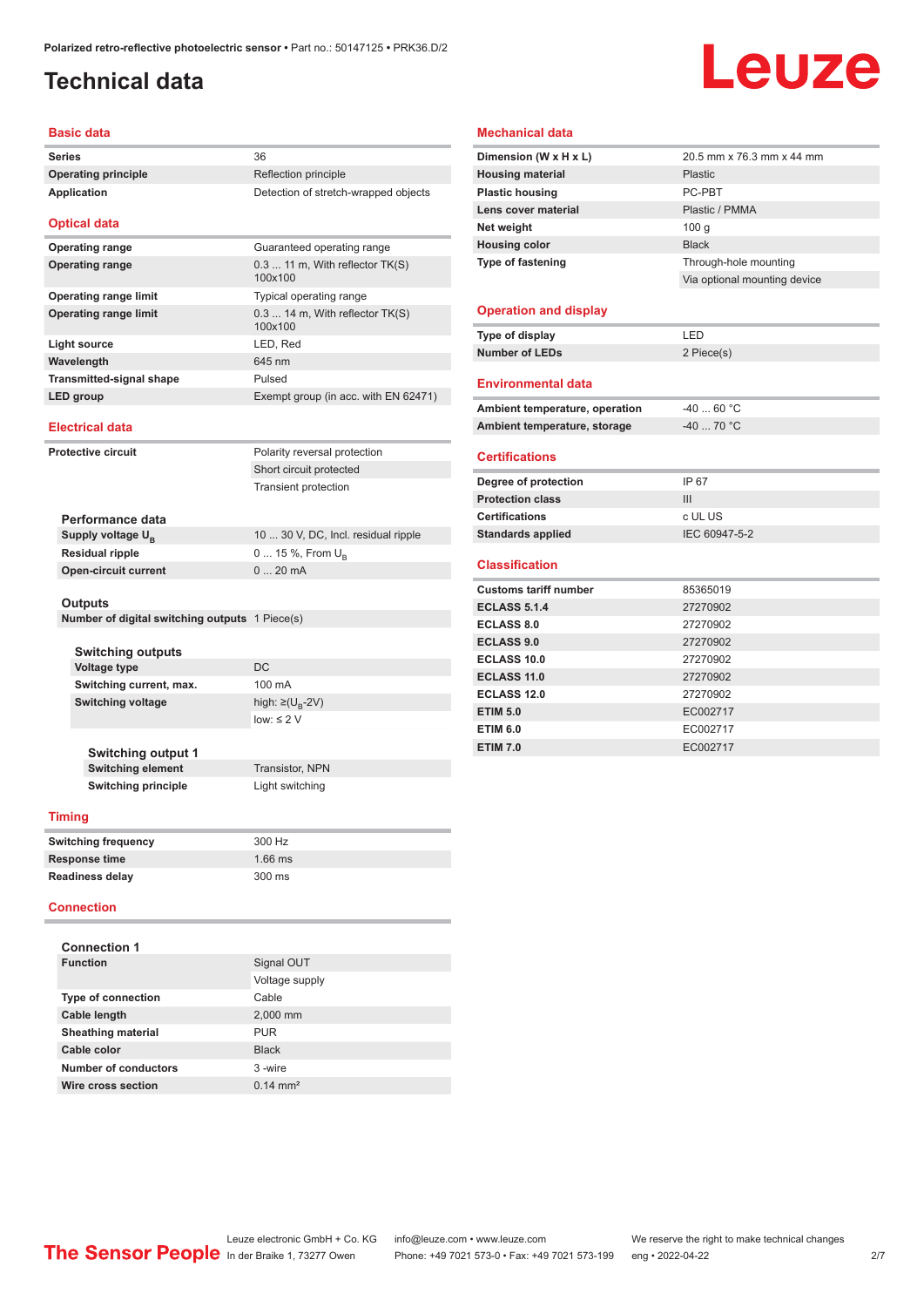## <span id="page-1-0"></span>**Technical data**

# Leuze

#### **Basic data**

| <b>Series</b>                   | 36                                           |
|---------------------------------|----------------------------------------------|
| <b>Operating principle</b>      | Reflection principle                         |
| Application                     | Detection of stretch-wrapped objects         |
| <b>Optical data</b>             |                                              |
| <b>Operating range</b>          | Guaranteed operating range                   |
| <b>Operating range</b>          | $0.311$ m, With reflector $TK(S)$<br>100x100 |
| <b>Operating range limit</b>    | Typical operating range                      |
| <b>Operating range limit</b>    | $0.314$ m, With reflector $TK(S)$<br>100x100 |
| Light source                    | LED, Red                                     |
| Wavelength                      | 645 nm                                       |
| <b>Transmitted-signal shape</b> | Pulsed                                       |
| LED group                       | Exempt group (in acc. with EN 62471)         |
| <b>Electrical data</b>          |                                              |
| Protective circuit              | Polarity reversal protection                 |
|                                 | Short circuit protected                      |
|                                 | <b>Transient protection</b>                  |

| Performance data              |                                     |
|-------------------------------|-------------------------------------|
| Supply voltage U <sub>B</sub> | 10  30 V, DC, Incl. residual ripple |
| Residual ripple               | 0  15 %, From $U_{\rm B}$           |
| Open-circuit current          | $020$ mA                            |
|                               |                                     |

#### **Outputs**

**Number of digital switching outputs** 1 Piece(s)

| <b>Switching outputs</b> |                                   |
|--------------------------|-----------------------------------|
| <b>Voltage type</b>      | DC.                               |
| Switching current, max.  | $100 \text{ mA}$                  |
| Switching voltage        | high: $\geq$ (U <sub>B</sub> -2V) |
|                          | $low: \leq 2$ V                   |
|                          |                                   |

**Switching output 1 Switching element** Transistor, NPN **Switching principle** Light switching

**Timing**

| <b>Switching frequency</b> | 300 Hz    |  |
|----------------------------|-----------|--|
| <b>Response time</b>       | $1.66$ ms |  |
| <b>Readiness delay</b>     | 300 ms    |  |

#### **Connection**

| <b>Connection 1</b>       |                     |
|---------------------------|---------------------|
| <b>Function</b>           | Signal OUT          |
|                           | Voltage supply      |
| <b>Type of connection</b> | Cable               |
| Cable length              | 2,000 mm            |
| <b>Sheathing material</b> | PUR                 |
| Cable color               | <b>Black</b>        |
| Number of conductors      | 3-wire              |
| Wire cross section        | $0.14 \text{ mm}^2$ |

#### **Mechanical data**

| Dimension (W x H x L)          | 20.5 mm x 76.3 mm x 44 mm    |
|--------------------------------|------------------------------|
| <b>Housing material</b>        | <b>Plastic</b>               |
| <b>Plastic housing</b>         | PC-PRT                       |
| Lens cover material            | Plastic / PMMA               |
| Net weight                     | 100q                         |
| <b>Housing color</b>           | <b>Black</b>                 |
| <b>Type of fastening</b>       | Through-hole mounting        |
|                                | Via optional mounting device |
|                                |                              |
| <b>Operation and display</b>   |                              |
| Type of display                | LED                          |
| <b>Number of LEDs</b>          | 2 Piece(s)                   |
|                                |                              |
| <b>Environmental data</b>      |                              |
| Ambient temperature, operation | $-4060 °C$                   |
| Ambient temperature, storage   | $-40$ 70 °C                  |
|                                |                              |
| <b>Certifications</b>          |                              |
| Degree of protection           | IP 67                        |
| <b>Protection class</b>        | III                          |
| <b>Certifications</b>          | c UL US                      |
| <b>Standards applied</b>       | IEC 60947-5-2                |
|                                |                              |
| <b>Classification</b>          |                              |
| <b>Customs tariff number</b>   | 85365019                     |
| <b>ECLASS 5.1.4</b>            | 27270902                     |
| <b>ECLASS 8.0</b>              | 27270902                     |
| <b>ECLASS 9.0</b>              | 27270902                     |
| ECLASS 10.0                    | 27270902                     |
| <b>ECLASS 11.0</b>             | 27270902                     |
| <b>ECLASS 12.0</b>             | 27270902                     |
| <b>ETIM 5.0</b>                | EC002717                     |
| <b>ETIM 6.0</b>                | EC002717                     |
| <b>ETIM 7.0</b>                | EC002717                     |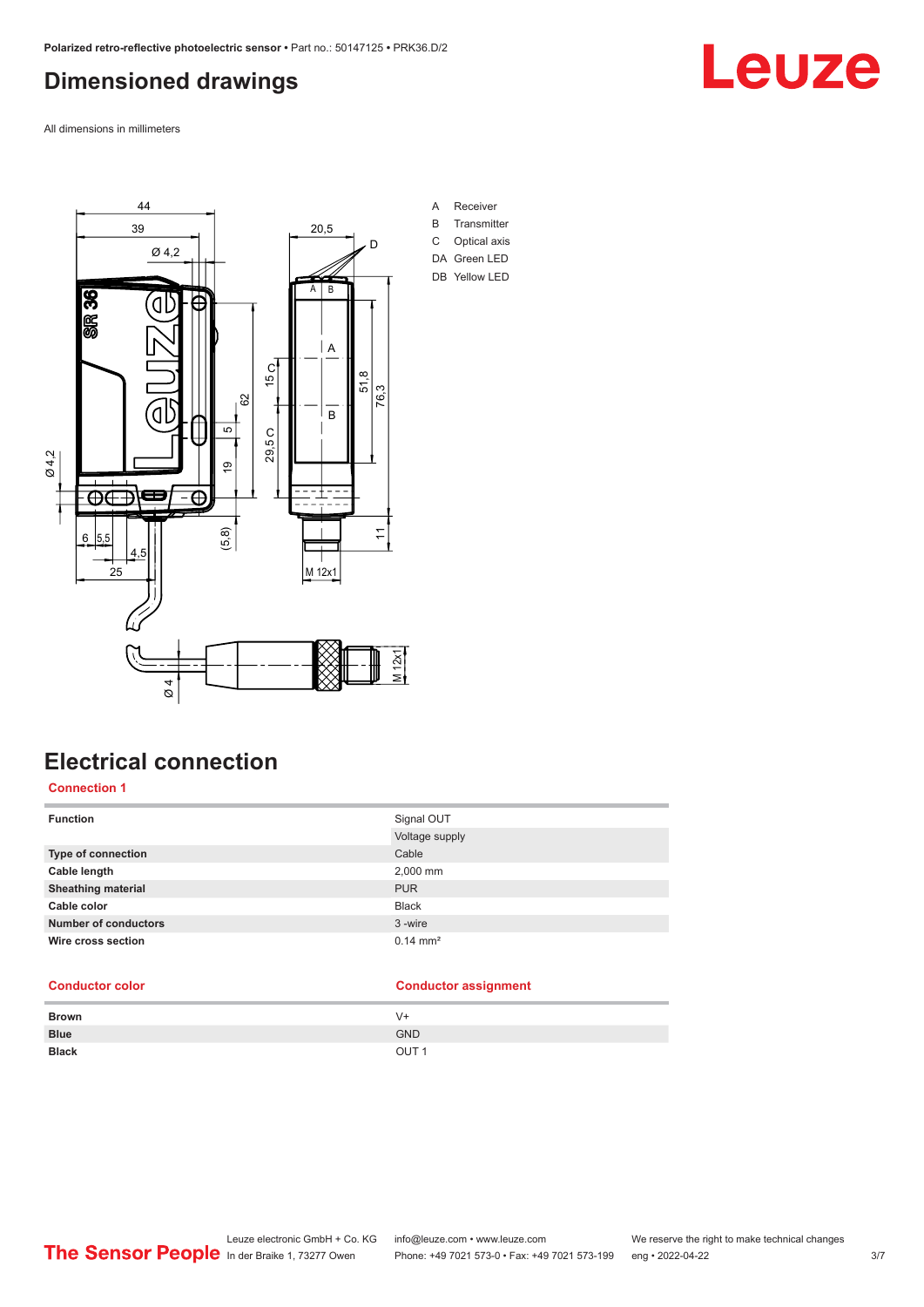### <span id="page-2-0"></span>**Dimensioned drawings**

All dimensions in millimeters



## **Electrical connection**

#### **Connection 1**

| <b>Function</b>             | Signal OUT          |
|-----------------------------|---------------------|
|                             | Voltage supply      |
| Type of connection          | Cable               |
| Cable length                | 2,000 mm            |
| <b>Sheathing material</b>   | <b>PUR</b>          |
| Cable color                 | <b>Black</b>        |
| <b>Number of conductors</b> | 3-wire              |
| Wire cross section          | $0.14 \text{ mm}^2$ |

#### **Conductor color Conductor assignment**

| <b>Brown</b> | $V +$            |
|--------------|------------------|
| <b>Blue</b>  | <b>GND</b>       |
| <b>Black</b> | OUT <sub>1</sub> |

# Leuze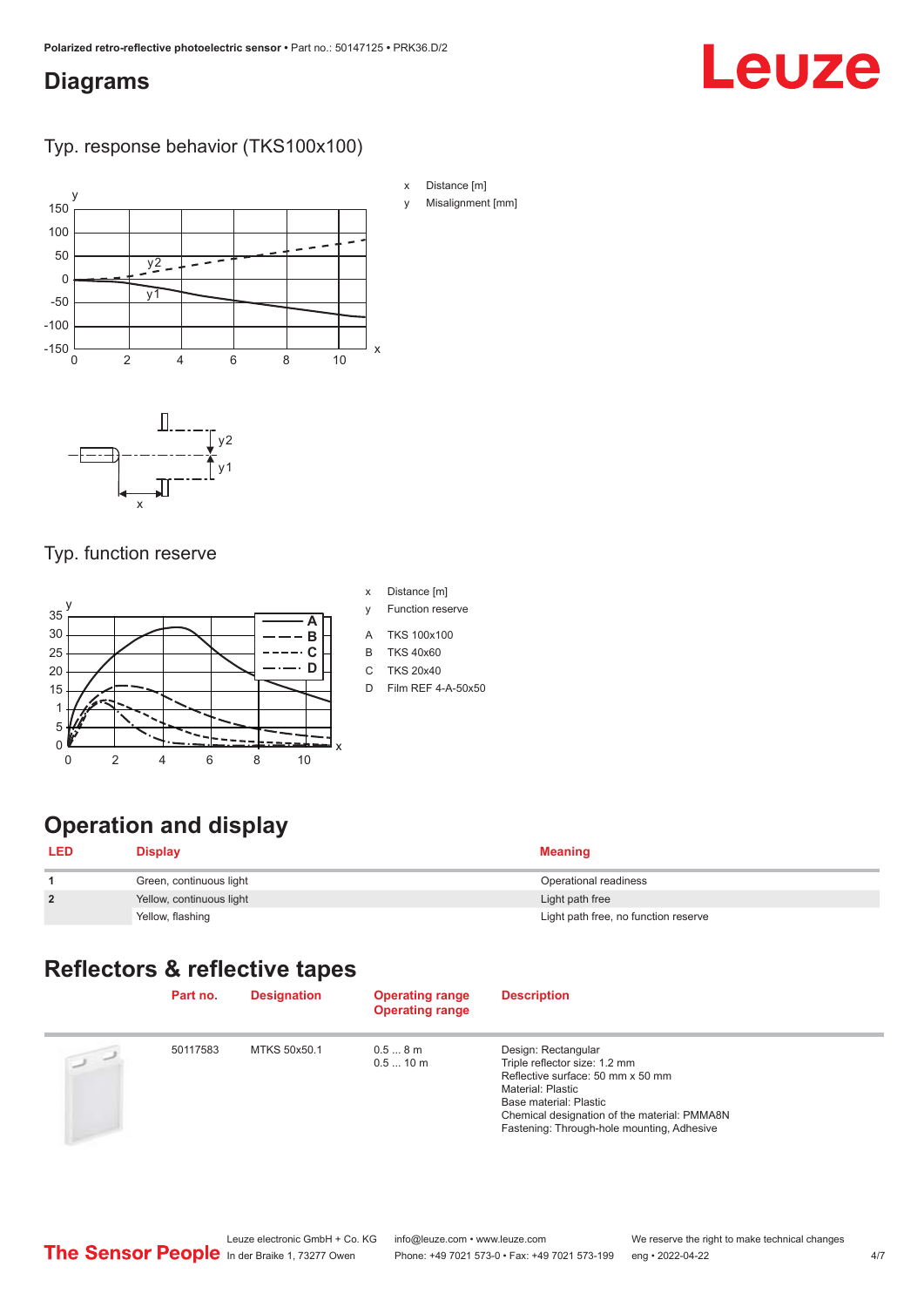#### <span id="page-3-0"></span>**Diagrams**

# Leuze

#### Typ. response behavior (TKS100x100)



#### Typ. function reserve



- x Distance [m]
- y Function reserve
- A TKS 100x100
- B TKS 40x60
- C TKS 20x40
- D Film REF 4-A-50x50

# **Operation and display**

| <b>LED</b>     | <b>Display</b>           | Meaning                              |
|----------------|--------------------------|--------------------------------------|
|                | Green, continuous light  | Operational readiness                |
| $\overline{2}$ | Yellow, continuous light | Light path free                      |
|                | Yellow, flashing         | Light path free, no function reserve |

### **Reflectors & reflective tapes**

|                | Part no. | <b>Designation</b> | <b>Operating range</b><br><b>Operating range</b> | <b>Description</b>                                                                                                                                                                                                                            |
|----------------|----------|--------------------|--------------------------------------------------|-----------------------------------------------------------------------------------------------------------------------------------------------------------------------------------------------------------------------------------------------|
| $\overline{2}$ | 50117583 | MTKS 50x50.1       | 0.58m<br>0.510 m                                 | Design: Rectangular<br>Triple reflector size: 1.2 mm<br>Reflective surface: 50 mm x 50 mm<br><b>Material: Plastic</b><br>Base material: Plastic<br>Chemical designation of the material: PMMA8N<br>Fastening: Through-hole mounting, Adhesive |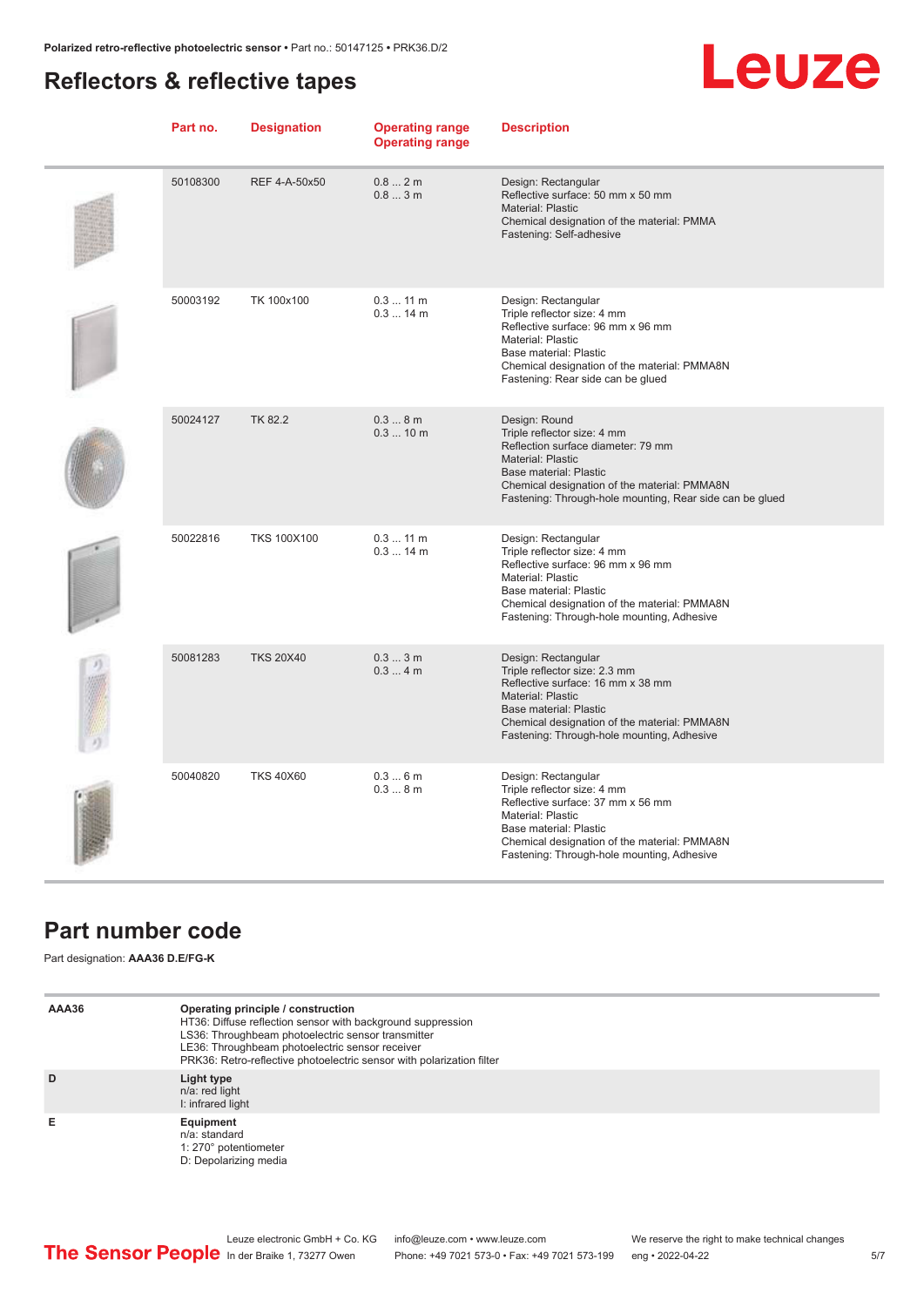### <span id="page-4-0"></span>**Reflectors & reflective tapes**

# **Leuze**

| Part no. | <b>Designation</b> | <b>Operating range</b><br><b>Operating range</b> | <b>Description</b>                                                                                                                                                                                                                            |
|----------|--------------------|--------------------------------------------------|-----------------------------------------------------------------------------------------------------------------------------------------------------------------------------------------------------------------------------------------------|
| 50108300 | REF 4-A-50x50      | 0.82m<br>0.83m                                   | Design: Rectangular<br>Reflective surface: 50 mm x 50 mm<br>Material: Plastic<br>Chemical designation of the material: PMMA<br>Fastening: Self-adhesive                                                                                       |
| 50003192 | TK 100x100         | $0.311$ m<br>$0.314$ m                           | Design: Rectangular<br>Triple reflector size: 4 mm<br>Reflective surface: 96 mm x 96 mm<br>Material: Plastic<br>Base material: Plastic<br>Chemical designation of the material: PMMA8N<br>Fastening: Rear side can be glued                   |
| 50024127 | TK 82.2            | 0.38m<br>0.310 m                                 | Design: Round<br>Triple reflector size: 4 mm<br>Reflection surface diameter: 79 mm<br>Material: Plastic<br>Base material: Plastic<br>Chemical designation of the material: PMMA8N<br>Fastening: Through-hole mounting, Rear side can be glued |
| 50022816 | <b>TKS 100X100</b> | $0.311$ m<br>$0.314$ m                           | Design: Rectangular<br>Triple reflector size: 4 mm<br>Reflective surface: 96 mm x 96 mm<br>Material: Plastic<br>Base material: Plastic<br>Chemical designation of the material: PMMA8N<br>Fastening: Through-hole mounting, Adhesive          |
| 50081283 | <b>TKS 20X40</b>   | 0.33m<br>0.34m                                   | Design: Rectangular<br>Triple reflector size: 2.3 mm<br>Reflective surface: 16 mm x 38 mm<br>Material: Plastic<br>Base material: Plastic<br>Chemical designation of the material: PMMA8N<br>Fastening: Through-hole mounting, Adhesive        |
| 50040820 | <b>TKS 40X60</b>   | 0.36m<br>0.38m                                   | Design: Rectangular<br>Triple reflector size: 4 mm<br>Reflective surface: 37 mm x 56 mm<br>Material: Plastic<br>Base material: Plastic<br>Chemical designation of the material: PMMA8N<br>Fastening: Through-hole mounting, Adhesive          |

### **Part number code**

Part designation: **AAA36 D.E/FG-K**

| AAA36 | Operating principle / construction<br>HT36: Diffuse reflection sensor with background suppression<br>LS36: Throughbeam photoelectric sensor transmitter<br>LE36: Throughbeam photoelectric sensor receiver<br>PRK36: Retro-reflective photoelectric sensor with polarization filter |
|-------|-------------------------------------------------------------------------------------------------------------------------------------------------------------------------------------------------------------------------------------------------------------------------------------|
| D     | Light type<br>n/a: red light<br>I: infrared light                                                                                                                                                                                                                                   |
| Е     | Equipment<br>n/a: standard<br>1: 270° potentiometer<br>D: Depolarizing media                                                                                                                                                                                                        |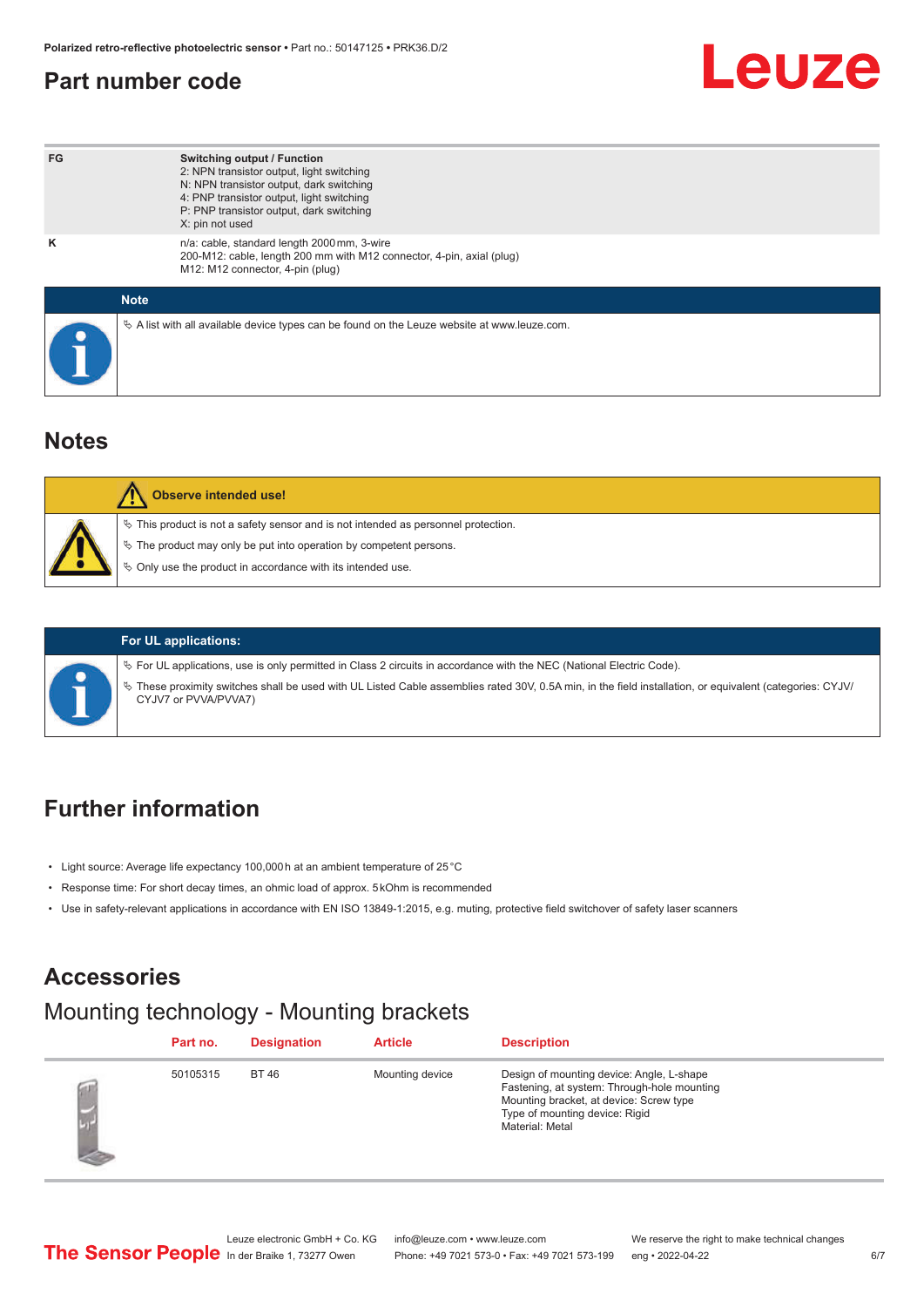### <span id="page-5-0"></span>**Part number code**

# Leuze

| FG          | <b>Switching output / Function</b><br>2: NPN transistor output, light switching<br>N: NPN transistor output, dark switching<br>4: PNP transistor output, light switching<br>P: PNP transistor output, dark switching<br>X: pin not used |
|-------------|-----------------------------------------------------------------------------------------------------------------------------------------------------------------------------------------------------------------------------------------|
| ĸ           | n/a: cable, standard length 2000 mm, 3-wire<br>200-M12: cable, length 200 mm with M12 connector, 4-pin, axial (plug)<br>M12: M12 connector, 4-pin (plug)                                                                                |
| <b>Note</b> |                                                                                                                                                                                                                                         |
|             | $\&$ A list with all available device types can be found on the Leuze website at www.leuze.com.                                                                                                                                         |

#### **Notes**

| Observe intended use!                                                                                                                                                                                                      |
|----------------------------------------------------------------------------------------------------------------------------------------------------------------------------------------------------------------------------|
| $\%$ This product is not a safety sensor and is not intended as personnel protection.<br>₹ The product may only be put into operation by competent persons.<br>♦ Only use the product in accordance with its intended use. |



#### **For UL applications:**

ª For UL applications, use is only permitted in Class 2 circuits in accordance with the NEC (National Electric Code).

ª These proximity switches shall be used with UL Listed Cable assemblies rated 30V, 0.5A min, in the field installation, or equivalent (categories: CYJV/ CYJV7 or PVVA/PVVA7)

## **Further information**

- Light source: Average life expectancy 100,000 h at an ambient temperature of 25 °C
- Response time: For short decay times, an ohmic load of approx. 5 kOhm is recommended
- Use in safety-relevant applications in accordance with EN ISO 13849-1:2015, e.g. muting, protective field switchover of safety laser scanners

#### **Accessories**

#### Mounting technology - Mounting brackets

| Part no. | <b>Designation</b> | <b>Article</b>  | <b>Description</b>                                                                                                                                                                       |
|----------|--------------------|-----------------|------------------------------------------------------------------------------------------------------------------------------------------------------------------------------------------|
| 50105315 | <b>BT 46</b>       | Mounting device | Design of mounting device: Angle, L-shape<br>Fastening, at system: Through-hole mounting<br>Mounting bracket, at device: Screw type<br>Type of mounting device: Rigid<br>Material: Metal |